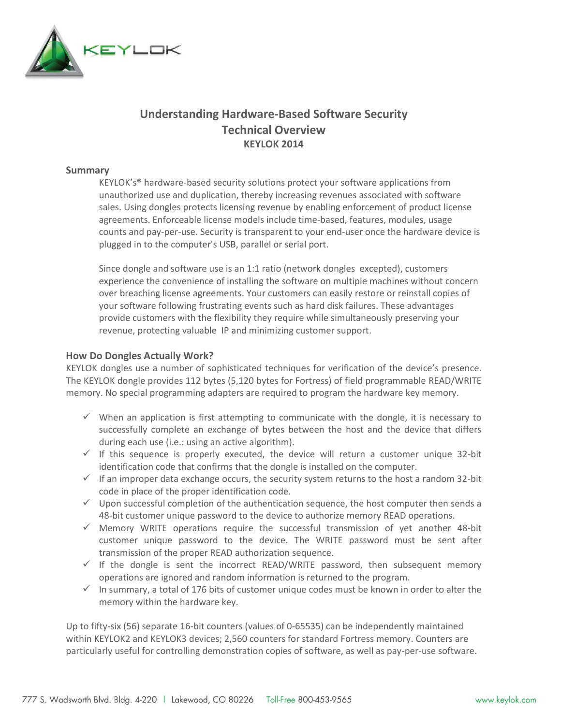

## **Understanding Hardware-Based Software Security Technical Overview KEYLOK 2014**

## **Summary**

KEYLOK's® hardware-based security solutions protect your software applications from unauthorized use and duplication, thereby increasing revenues associated with software sales. Using dongles protects licensing revenue by enabling enforcement of product license agreements. Enforceable license models include time-based, features, modules, usage counts and pay-per-use. Security is transparent to your end-user once the hardware device is plugged in to the computer's USB, parallel or serial port.

Since dongle and software use is an 1:1 ratio (network dongles excepted), customers experience the convenience of installing the software on multiple machines without concern over breaching license agreements. Your customers can easily restore or reinstall copies of your software following frustrating events such as hard disk failures. These advantages provide customers with the flexibility they require while simultaneously preserving your revenue, protecting valuable IP and minimizing customer support.

## **How Do Dongles Actually Work?**

KEYLOK dongles use a number of sophisticated techniques for verification of the device's presence. The KEYLOK dongle provides 112 bytes (5,120 bytes for Fortress) of field programmable READ/WRITE memory. No special programming adapters are required to program the hardware key memory.

- $\checkmark$  When an application is first attempting to communicate with the dongle, it is necessary to successfully complete an exchange of bytes between the host and the device that differs during each use (i.e.: using an active algorithm).
- $\checkmark$  If this sequence is properly executed, the device will return a customer unique 32-bit identification code that confirms that the dongle is installed on the computer.
- $\checkmark$  If an improper data exchange occurs, the security system returns to the host a random 32-bit code in place of the proper identification code.
- $\checkmark$  Upon successful completion of the authentication sequence, the host computer then sends a 48-bit customer unique password to the device to authorize memory READ operations.
- $\checkmark$  Memory WRITE operations require the successful transmission of yet another 48-bit customer unique password to the device. The WRITE password must be sent after transmission of the proper READ authorization sequence.
- $\checkmark$  If the dongle is sent the incorrect READ/WRITE password, then subsequent memory operations are ignored and random information is returned to the program.
- $\checkmark$  In summary, a total of 176 bits of customer unique codes must be known in order to alter the memory within the hardware key.

Up to fifty-six (56) separate 16-bit counters (values of 0-65535) can be independently maintained within KEYLOK2 and KEYLOK3 devices; 2,560 counters for standard Fortress memory. Counters are particularly useful for controlling demonstration copies of software, as well as pay-per-use software.